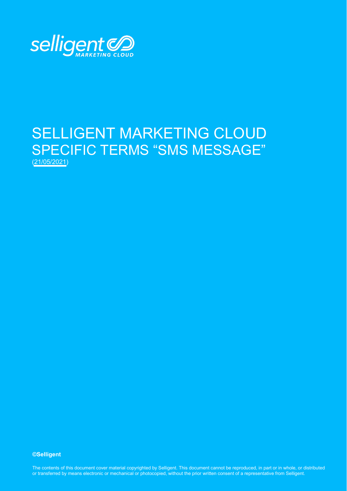

## SELLIGENT MARKETING CLOUD SPECIFIC TERMS "SMS MESSAGE" (21/05/2021)

**©Selligent** 

The contents of this document cover material copyrighted by Selligent. This document cannot be reproduced, in part or in whole, or distributed or transferred by means electronic or mechanical or photocopied, without the prior written consent of a representative from Selligent.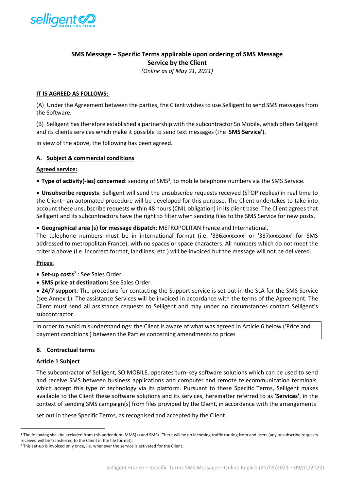

## **SMS Message – Specific Terms applicable upon ordering of SMS Message Service by the Client**

*(Online as of May 21, 2021)*

## **IT IS AGREED AS FOLLOWS:**

(A) Under the Agreement between the parties, the Client wishes to use Selligent to send SMS messages from the Software.

(B) Selligent has therefore established a partnership with the subcontractor So Mobile, which offers Selligent and its clients services which make it possible to send text messages (the '**SMS Service'**).

In view of the above, the following has been agreed.

## **A. Subject & commercial conditions**

#### **Agreed service:**

**• Type of activity(-ies) concerned**: sending of SMS<sup>[1](#page-1-0)</sup>, to mobile telephone numbers via the SMS Service.

• **Unsubscribe requests**: Selligent will send the unsubscribe requests received (STOP replies) in real time to the Client– an automated procedure will be developed for this purpose. The Client undertakes to take into account these unsubscribe requests within 48 hours (CNIL obligation) in its client base. The Client agrees that Selligent and its subcontractors have the right to filter when sending files to the SMS Service for new posts.

#### • **Geographical area (s) for message dispatch**: METROPOLITAN France and International.

The telephone numbers must be in international format (i.e. '336xxxxxxxx' or '337xxxxxxxx' for SMS addressed to metropolitan France), with no spaces or space characters. All numbers which do not meet the criteria above (i.e. incorrect format, landlines, etc.) will be invoiced but the message will not be delivered.

## **Prices:**

- **Set-up costs**[2](#page-1-1) : See Sales Order.
- **SMS price at destination:** See Sales Order.

• **24/7 support**: The procedure for contacting the Support service is set out in the SLA for the SMS Service (see Annex 1). The assistance Services will be invoiced in accordance with the terms of the Agreement. The Client must send all assistance requests to Selligent and may under no circumstances contact Selligent's subcontractor.

In order to avoid misunderstandings: the Client is aware of what was agreed in Article 6 below ('Price and payment conditions') between the Parties concerning amendments to prices

## **B. Contractual terms**

#### **Article 1 Subject**

The subcontractor of Selligent, SO MOBILE, operates turn-key software solutions which can be used to send and receive SMS between business applications and computer and remote telecommunication terminals, which accept this type of technology via its platform. Pursuant to these Specific Terms, Selligent makes available to the Client these software solutions and its services, hereinafter referred to as **'Services'**, in the context of sending SMS campaign(s) from files provided by the Client, in accordance with the arrangements

set out in these Specific Terms, as recognised and accepted by the Client.

<span id="page-1-0"></span><sup>&</sup>lt;sup>1</sup> The following shall be excluded from this addendum: MMS(+) and SMS+. There will be no incoming traffic routing from end users (any unsubscribe requests received will be transferred to the Client in the file format).

<span id="page-1-1"></span><sup>&</sup>lt;sup>2</sup> This set-up is invoiced only once, i.e. whenever the service is activated for the Client.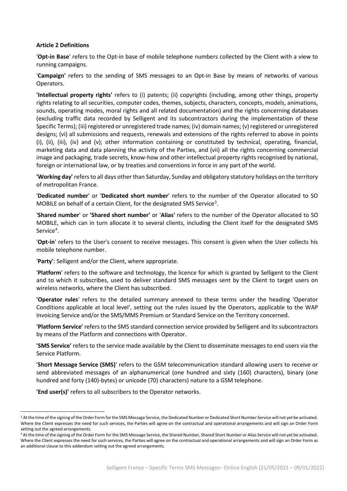## **Article 2 Definitions**

'**Opt-in Base**' refers to the Opt-in base of mobile telephone numbers collected by the Client with a view to running campaigns.

'**Campaign'** refers to the sending of SMS messages to an Opt-in Base by means of networks of various Operators.

**'Intellectual property rights'** refers to (i) patents; (ii) copyrights (including, among other things, property rights relating to all securities, computer codes, themes, subjects, characters, concepts, models, animations, sounds, operating modes, moral rights and all related documentation) and the rights concerning databases (excluding traffic data recorded by Selligent and its subcontractors during the implementation of these Specific Terms); (iii) registered or unregistered trade names; (iv) domain names; (v) registered or unregistered designs; (vi) all submissions and requests, renewals and extensions of the rights referred to above in points (i), (ii), (iii), (iv) and (v); other information containing or constituted by technical, operating, financial, marketing data and data planning the activity of the Parties, and (vii) all the rights concerning commercial image and packaging, trade secrets, know-how and other intellectual property rights recognised by national, foreign or international law, or by treaties and conventions in force in any part of the world.

**'Working day'** refers to all days other than Saturday, Sunday and obligatory statutory holidays on the territory of metropolitan France.

'**Dedicated number**' or '**Dedicated short number**' refers to the number of the Operator allocated to SO MOBILE on behalf of a certain Client, for the designated SMS Service<sup>[3](#page-2-0)</sup>.

'**Shared number**' or **'Shared short number'** or '**Alias'** refers to the number of the Operator allocated to SO MOBILE, which can in turn allocate it to several clients, including the Client itself for the designated SMS Service<sup>[4](#page-2-1)</sup>.

'**Opt-in**' refers to the User's consent to receive messages. This consent is given when the User collects his mobile telephone number.

'**Party'**: Selligent and/or the Client, where appropriate.

'**Platform**' refers to the software and technology, the licence for which is granted by Selligent to the Client and to which it subscribes, used to deliver standard SMS messages sent by the Client to target users on wireless networks, where the Client has subscribed.

**'Operator rules**' refers to the detailed summary annexed to these terms under the heading 'Operator Conditions applicable at local level', setting out the rules issued by the Operators, applicable to the WAP Invoicing Service and/or the SMS/MMS Premium or Standard Service on the Territory concerned.

**'Platform Service'** refers to the SMS standard connection service provided by Selligent and its subcontractors by means of the Platform and connections with Operator.

**'SMS Service'** refers to the service made available by the Client to disseminate messages to end users via the Service Platform.

'**Short Message Service (SMS)**' refers to the GSM telecommunication standard allowing users to receive or send abbreviated messages of an alphanumerical (one hundred and sixty (160) characters), binary (one hundred and forty (140)-bytes) or unicode (70) characters) nature to a GSM telephone.

**'End user(s)'** refers to all subscribers to the Operator networks.

<span id="page-2-0"></span><sup>&</sup>lt;sup>3</sup> At the time of the signing of the Order Form for the SMS Message Service, the Dedicated Number or Dedicated Short Number Service will not yet be activated. Where the Client expresses the need for such services, the Parties will agree on the contractual and operational arrangements and will sign an Order Form setting out the agreed arrangements.

<span id="page-2-1"></span><sup>4</sup> At the time of the signing of the Order Form for the SMS Message Service, the Shared Number, Shared Short Number or Alias Service will not yet be activated. Where the Client expresses the need for such services, the Parties will agree on the contractual and operational arrangements and will sign an Order Form as an additional clause to this addendum setting out the agreed arrangements.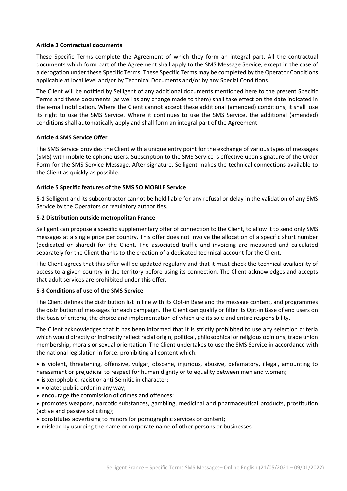## **Article 3 Contractual documents**

These Specific Terms complete the Agreement of which they form an integral part. All the contractual documents which form part of the Agreement shall apply to the SMS Message Service, except in the case of a derogation under these Specific Terms. These Specific Terms may be completed by the Operator Conditions applicable at local level and/or by Technical Documents and/or by any Special Conditions.

The Client will be notified by Selligent of any additional documents mentioned here to the present Specific Terms and these documents (as well as any change made to them) shall take effect on the date indicated in the e-mail notification. Where the Client cannot accept these additional (amended) conditions, it shall lose its right to use the SMS Service. Where it continues to use the SMS Service, the additional (amended) conditions shall automatically apply and shall form an integral part of the Agreement.

## **Article 4 SMS Service Offer**

The SMS Service provides the Client with a unique entry point for the exchange of various types of messages (SMS) with mobile telephone users. Subscription to the SMS Service is effective upon signature of the Order Form for the SMS Service Message. After signature, Selligent makes the technical connections available to the Client as quickly as possible.

#### **Article 5 Specific features of the SMS SO MOBILE Service**

**5-1** Selligent and its subcontractor cannot be held liable for any refusal or delay in the validation of any SMS Service by the Operators or regulatory authorities.

#### **5-2 Distribution outside metropolitan France**

Selligent can propose a specific supplementary offer of connection to the Client, to allow it to send only SMS messages at a single price per country. This offer does not involve the allocation of a specific short number (dedicated or shared) for the Client. The associated traffic and invoicing are measured and calculated separately for the Client thanks to the creation of a dedicated technical account for the Client.

The Client agrees that this offer will be updated regularly and that it must check the technical availability of access to a given country in the territory before using its connection. The Client acknowledges and accepts that adult services are prohibited under this offer.

## **5-3 Conditions of use of the SMS Service**

The Client defines the distribution list in line with its Opt-in Base and the message content, and programmes the distribution of messages for each campaign. The Client can qualify or filter its Opt-in Base of end users on the basis of criteria, the choice and implementation of which are its sole and entire responsibility.

The Client acknowledges that it has been informed that it is strictly prohibited to use any selection criteria which would directly or indirectly reflect racial origin, political, philosophical or religious opinions, trade union membership, morals or sexual orientation. The Client undertakes to use the SMS Service in accordance with the national legislation in force, prohibiting all content which:

• is violent, threatening, offensive, vulgar, obscene, injurious, abusive, defamatory, illegal, amounting to harassment or prejudicial to respect for human dignity or to equality between men and women;

- is xenophobic, racist or anti-Semitic in character;
- violates public order in any way;
- encourage the commission of crimes and offences;

• promotes weapons, narcotic substances, gambling, medicinal and pharmaceutical products, prostitution (active and passive soliciting);

- constitutes advertising to minors for pornographic services or content;
- mislead by usurping the name or corporate name of other persons or businesses.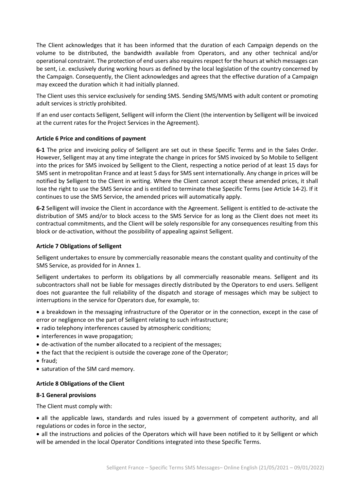The Client acknowledges that it has been informed that the duration of each Campaign depends on the volume to be distributed, the bandwidth available from Operators, and any other technical and/or operational constraint. The protection of end users also requires respect for the hours at which messages can be sent, i.e. exclusively during working hours as defined by the local legislation of the country concerned by the Campaign. Consequently, the Client acknowledges and agrees that the effective duration of a Campaign may exceed the duration which it had initially planned.

The Client uses this service exclusively for sending SMS. Sending SMS/MMS with adult content or promoting adult services is strictly prohibited.

If an end user contacts Selligent, Selligent will inform the Client (the intervention by Selligent will be invoiced at the current rates for the Project Services in the Agreement).

## **Article 6 Price and conditions of payment**

**6-1** The price and invoicing policy of Selligent are set out in these Specific Terms and in the Sales Order. However, Selligent may at any time integrate the change in prices for SMS invoiced by So Mobile to Selligent into the prices for SMS invoiced by Selligent to the Client, respecting a notice period of at least 15 days for SMS sent in metropolitan France and at least 5 days for SMS sent internationally. Any change in prices will be notified by Selligent to the Client in writing. Where the Client cannot accept these amended prices, it shall lose the right to use the SMS Service and is entitled to terminate these Specific Terms (see Article 14-2). If it continues to use the SMS Service, the amended prices will automatically apply.

**6-2** Selligent will invoice the Client in accordance with the Agreement. Selligent is entitled to de-activate the distribution of SMS and/or to block access to the SMS Service for as long as the Client does not meet its contractual commitments, and the Client will be solely responsible for any consequences resulting from this block or de-activation, without the possibility of appealing against Selligent.

## **Article 7 Obligations of Selligent**

Selligent undertakes to ensure by commercially reasonable means the constant quality and continuity of the SMS Service, as provided for in Annex 1.

Selligent undertakes to perform its obligations by all commercially reasonable means. Selligent and its subcontractors shall not be liable for messages directly distributed by the Operators to end users. Selligent does not guarantee the full reliability of the dispatch and storage of messages which may be subject to interruptions in the service for Operators due, for example, to:

• a breakdown in the messaging infrastructure of the Operator or in the connection, except in the case of error or negligence on the part of Selligent relating to such infrastructure;

- radio telephony interferences caused by atmospheric conditions;
- interferences in wave propagation;
- de-activation of the number allocated to a recipient of the messages;
- the fact that the recipient is outside the coverage zone of the Operator;
- fraud;
- saturation of the SIM card memory.

## **Article 8 Obligations of the Client**

## **8-1 General provisions**

The Client must comply with:

• all the applicable laws, standards and rules issued by a government of competent authority, and all regulations or codes in force in the sector,

• all the instructions and policies of the Operators which will have been notified to it by Selligent or which will be amended in the local Operator Conditions integrated into these Specific Terms.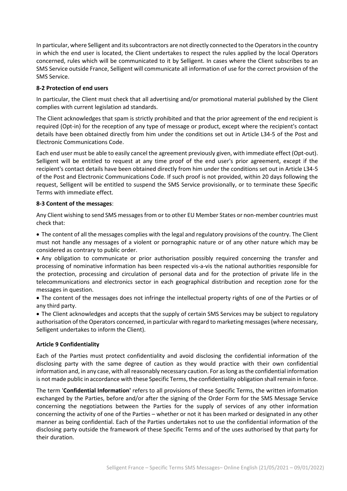In particular, where Selligent and its subcontractors are not directly connected to the Operators in the country in which the end user is located, the Client undertakes to respect the rules applied by the local Operators concerned, rules which will be communicated to it by Selligent. In cases where the Client subscribes to an SMS Service outside France, Selligent will communicate all information of use for the correct provision of the SMS Service.

## **8-2 Protection of end users**

In particular, the Client must check that all advertising and/or promotional material published by the Client complies with current legislation ad standards.

The Client acknowledges that spam is strictly prohibited and that the prior agreement of the end recipient is required (Opt-in) for the reception of any type of message or product, except where the recipient's contact details have been obtained directly from him under the conditions set out in Article L34-5 of the Post and Electronic Communications Code.

Each end user must be able to easily cancel the agreement previously given, with immediate effect (Opt-out). Selligent will be entitled to request at any time proof of the end user's prior agreement, except if the recipient's contact details have been obtained directly from him under the conditions set out in Article L34-5 of the Post and Electronic Communications Code. If such proof is not provided, within 20 days following the request, Selligent will be entitled to suspend the SMS Service provisionally, or to terminate these Specific Terms with immediate effect.

## **8-3 Content of the messages**:

Any Client wishing to send SMS messages from or to other EU Member States or non-member countries must check that:

• The content of all the messages complies with the legal and regulatory provisions of the country. The Client must not handle any messages of a violent or pornographic nature or of any other nature which may be considered as contrary to public order.

• Any obligation to communicate or prior authorisation possibly required concerning the transfer and processing of nominative information has been respected vis-a-vis the national authorities responsible for the protection, processing and circulation of personal data and for the protection of private life in the telecommunications and electronics sector in each geographical distribution and reception zone for the messages in question.

• The content of the messages does not infringe the intellectual property rights of one of the Parties or of any third party.

• The Client acknowledges and accepts that the supply of certain SMS Services may be subject to regulatory authorisation of the Operators concerned, in particular with regard to marketing messages (where necessary, Selligent undertakes to inform the Client).

## **Article 9 Confidentiality**

Each of the Parties must protect confidentiality and avoid disclosing the confidential information of the disclosing party with the same degree of caution as they would practice with their own confidential information and, in any case, with all reasonably necessary caution. For as long as the confidential information is not made public in accordance with these Specific Terms, the confidentiality obligation shall remain in force.

The term '**Confidential Information'** refers to all provisions of these Specific Terms, the written information exchanged by the Parties, before and/or after the signing of the Order Form for the SMS Message Service concerning the negotiations between the Parties for the supply of services of any other information concerning the activity of one of the Parties – whether or not it has been marked or designated in any other manner as being confidential. Each of the Parties undertakes not to use the confidential information of the disclosing party outside the framework of these Specific Terms and of the uses authorised by that party for their duration.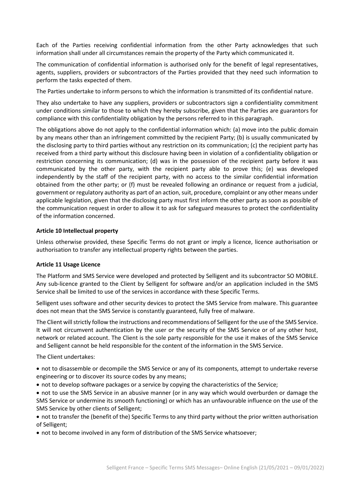Each of the Parties receiving confidential information from the other Party acknowledges that such information shall under all circumstances remain the property of the Party which communicated it.

The communication of confidential information is authorised only for the benefit of legal representatives, agents, suppliers, providers or subcontractors of the Parties provided that they need such information to perform the tasks expected of them.

The Parties undertake to inform persons to which the information is transmitted of its confidential nature.

They also undertake to have any suppliers, providers or subcontractors sign a confidentiality commitment under conditions similar to those to which they hereby subscribe, given that the Parties are guarantors for compliance with this confidentiality obligation by the persons referred to in this paragraph.

The obligations above do not apply to the confidential information which: (a) move into the public domain by any means other than an infringement committed by the recipient Party; (b) is usually communicated by the disclosing party to third parties without any restriction on its communication; (c) the recipient party has received from a third party without this disclosure having been in violation of a confidentiality obligation or restriction concerning its communication; (d) was in the possession of the recipient party before it was communicated by the other party, with the recipient party able to prove this; (e) was developed independently by the staff of the recipient party, with no access to the similar confidential information obtained from the other party; or (f) must be revealed following an ordinance or request from a judicial, government or regulatory authority as part of an action, suit, procedure, complaint or any other means under applicable legislation, given that the disclosing party must first inform the other party as soon as possible of the communication request in order to allow it to ask for safeguard measures to protect the confidentiality of the information concerned.

#### **Article 10 Intellectual property**

Unless otherwise provided, these Specific Terms do not grant or imply a licence, licence authorisation or authorisation to transfer any intellectual property rights between the parties.

#### **Article 11 Usage Licence**

The Platform and SMS Service were developed and protected by Selligent and its subcontractor SO MOBILE. Any sub-licence granted to the Client by Selligent for software and/or an application included in the SMS Service shall be limited to use of the services in accordance with these Specific Terms.

Selligent uses software and other security devices to protect the SMS Service from malware. This guarantee does not mean that the SMS Service is constantly guaranteed, fully free of malware.

The Client will strictly follow the instructions and recommendations of Selligent for the use of the SMS Service. It will not circumvent authentication by the user or the security of the SMS Service or of any other host, network or related account. The Client is the sole party responsible for the use it makes of the SMS Service and Selligent cannot be held responsible for the content of the information in the SMS Service.

The Client undertakes:

• not to disassemble or decompile the SMS Service or any of its components, attempt to undertake reverse engineering or to discover its source codes by any means;

- not to develop software packages or a service by copying the characteristics of the Service;
- not to use the SMS Service in an abusive manner (or in any way which would overburden or damage the SMS Service or undermine its smooth functioning) or which has an unfavourable influence on the use of the SMS Service by other clients of Selligent;

• not to transfer the (benefit of the) Specific Terms to any third party without the prior written authorisation of Selligent;

• not to become involved in any form of distribution of the SMS Service whatsoever;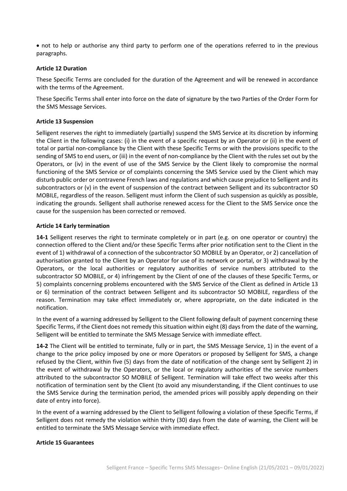• not to help or authorise any third party to perform one of the operations referred to in the previous paragraphs.

### **Article 12 Duration**

These Specific Terms are concluded for the duration of the Agreement and will be renewed in accordance with the terms of the Agreement.

These Specific Terms shall enter into force on the date of signature by the two Parties of the Order Form for the SMS Message Services.

### **Article 13 Suspension**

Selligent reserves the right to immediately (partially) suspend the SMS Service at its discretion by informing the Client in the following cases: (i) in the event of a specific request by an Operator or (ii) in the event of total or partial non-compliance by the Client with these Specific Terms or with the provisions specific to the sending of SMS to end users, or (iii) in the event of non-compliance by the Client with the rules set out by the Operators, or (iv) in the event of use of the SMS Service by the Client likely to compromise the normal functioning of the SMS Service or of complaints concerning the SMS Service used by the Client which may disturb public order or contravene French laws and regulations and which cause prejudice to Selligent and its subcontractors or (v) in the event of suspension of the contract between Selligent and its subcontractor SO MOBILE, regardless of the reason. Selligent must inform the Client of such suspension as quickly as possible, indicating the grounds. Selligent shall authorise renewed access for the Client to the SMS Service once the cause for the suspension has been corrected or removed.

#### **Article 14 Early termination**

**14-1** Selligent reserves the right to terminate completely or in part (e.g. on one operator or country) the connection offered to the Client and/or these Specific Terms after prior notification sent to the Client in the event of 1) withdrawal of a connection of the subcontractor SO MOBILE by an Operator, or 2) cancellation of authorisation granted to the Client by an Operator for use of its network or portal, or 3) withdrawal by the Operators, or the local authorities or regulatory authorities of service numbers attributed to the subcontractor SO MOBILE, or 4) infringement by the Client of one of the clauses of these Specific Terms, or 5) complaints concerning problems encountered with the SMS Service of the Client as defined in Article 13 or 6) termination of the contract between Selligent and its subcontractor SO MOBILE, regardless of the reason. Termination may take effect immediately or, where appropriate, on the date indicated in the notification.

In the event of a warning addressed by Selligent to the Client following default of payment concerning these Specific Terms, if the Client does not remedy this situation within eight (8) days from the date of the warning, Selligent will be entitled to terminate the SMS Message Service with immediate effect.

**14-2** The Client will be entitled to terminate, fully or in part, the SMS Message Service, 1) in the event of a change to the price policy imposed by one or more Operators or proposed by Selligent for SMS, a change refused by the Client, within five (5) days from the date of notification of the change sent by Selligent 2) in the event of withdrawal by the Operators, or the local or regulatory authorities of the service numbers attributed to the subcontractor SO MOBILE of Selligent. Termination will take effect two weeks after this notification of termination sent by the Client (to avoid any misunderstanding, if the Client continues to use the SMS Service during the termination period, the amended prices will possibly apply depending on their date of entry into force).

In the event of a warning addressed by the Client to Selligent following a violation of these Specific Terms, if Selligent does not remedy the violation within thirty (30) days from the date of warning, the Client will be entitled to terminate the SMS Message Service with immediate effect.

#### **Article 15 Guarantees**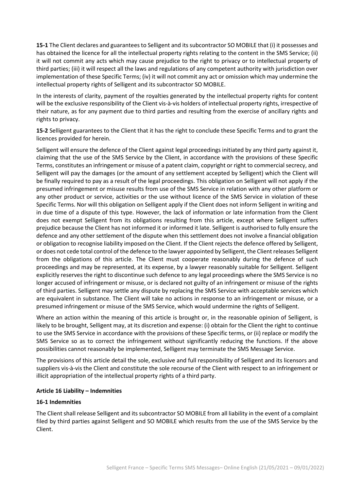**15-1** The Client declares and guarantees to Selligent and its subcontractor SO MOBILE that (i) it possesses and has obtained the licence for all the intellectual property rights relating to the content in the SMS Service; (ii) it will not commit any acts which may cause prejudice to the right to privacy or to intellectual property of third parties; (iii) it will respect all the laws and regulations of any competent authority with jurisdiction over implementation of these Specific Terms; (iv) it will not commit any act or omission which may undermine the intellectual property rights of Selligent and its subcontractor SO MOBILE.

In the interests of clarity, payment of the royalties generated by the intellectual property rights for content will be the exclusive responsibility of the Client vis-à-vis holders of intellectual property rights, irrespective of their nature, as for any payment due to third parties and resulting from the exercise of ancillary rights and rights to privacy.

**15-2** Selligent guarantees to the Client that it has the right to conclude these Specific Terms and to grant the licences provided for herein.

Selligent will ensure the defence of the Client against legal proceedings initiated by any third party against it, claiming that the use of the SMS Service by the Client, in accordance with the provisions of these Specific Terms, constitutes an infringement or misuse of a patent claim, copyright or right to commercial secrecy, and Selligent will pay the damages (or the amount of any settlement accepted by Selligent) which the Client will be finally required to pay as a result of the legal proceedings. This obligation on Selligent will not apply if the presumed infringement or misuse results from use of the SMS Service in relation with any other platform or any other product or service, activities or the use without licence of the SMS Service in violation of these Specific Terms. Nor will this obligation on Selligent apply if the Client does not inform Selligent in writing and in due time of a dispute of this type. However, the lack of information or late information from the Client does not exempt Selligent from its obligations resulting from this article, except where Selligent suffers prejudice because the Client has not informed it or informed it late. Selligent is authorised to fully ensure the defence and any other settlement of the dispute when this settlement does not involve a financial obligation or obligation to recognise liability imposed on the Client. If the Client rejects the defence offered by Selligent, or does not cede total control of the defence to the lawyer appointed by Selligent, the Client releases Selligent from the obligations of this article. The Client must cooperate reasonably during the defence of such proceedings and may be represented, at its expense, by a lawyer reasonably suitable for Selligent. Selligent explicitly reserves the right to discontinue such defence to any legal proceedings where the SMS Service is no longer accused of infringement or misuse, or is declared not guilty of an infringement or misuse of the rights of third parties. Selligent may settle any dispute by replacing the SMS Service with acceptable services which are equivalent in substance. The Client will take no actions in response to an infringement or misuse, or a presumed infringement or misuse of the SMS Service, which would undermine the rights of Selligent.

Where an action within the meaning of this article is brought or, in the reasonable opinion of Selligent, is likely to be brought, Selligent may, at its discretion and expense: (i) obtain for the Client the right to continue to use the SMS Service in accordance with the provisions of these Specific terms, or (ii) replace or modify the SMS Service so as to correct the infringement without significantly reducing the functions. If the above possibilities cannot reasonably be implemented, Selligent may terminate the SMS Message Service.

The provisions of this article detail the sole, exclusive and full responsibility of Selligent and its licensors and suppliers vis-à-vis the Client and constitute the sole recourse of the Client with respect to an infringement or illicit appropriation of the intellectual property rights of a third party.

## **Article 16 Liability – Indemnities**

## **16-1 Indemnities**

The Client shall release Selligent and its subcontractor SO MOBILE from all liability in the event of a complaint filed by third parties against Selligent and SO MOBILE which results from the use of the SMS Service by the Client.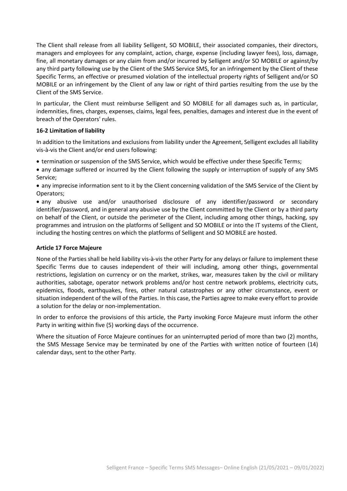The Client shall release from all liability Selligent, SO MOBILE, their associated companies, their directors, managers and employees for any complaint, action, charge, expense (including lawyer fees), loss, damage, fine, all monetary damages or any claim from and/or incurred by Selligent and/or SO MOBILE or against/by any third party following use by the Client of the SMS Service SMS, for an infringement by the Client of these Specific Terms, an effective or presumed violation of the intellectual property rights of Selligent and/or SO MOBILE or an infringement by the Client of any law or right of third parties resulting from the use by the Client of the SMS Service.

In particular, the Client must reimburse Selligent and SO MOBILE for all damages such as, in particular, indemnities, fines, charges, expenses, claims, legal fees, penalties, damages and interest due in the event of breach of the Operators' rules.

## **16-2 Limitation of liability**

In addition to the limitations and exclusions from liability under the Agreement, Selligent excludes all liability vis-à-vis the Client and/or end users following:

• termination or suspension of the SMS Service, which would be effective under these Specific Terms;

• any damage suffered or incurred by the Client following the supply or interruption of supply of any SMS Service;

• any imprecise information sent to it by the Client concerning validation of the SMS Service of the Client by Operators;

• any abusive use and/or unauthorised disclosure of any identifier/password or secondary identifier/password, and in general any abusive use by the Client committed by the Client or by a third party on behalf of the Client, or outside the perimeter of the Client, including among other things, hacking, spy programmes and intrusion on the platforms of Selligent and SO MOBILE or into the IT systems of the Client, including the hosting centres on which the platforms of Selligent and SO MOBILE are hosted.

## **Article 17 Force Majeure**

None of the Parties shall be held liability vis-à-vis the other Party for any delays or failure to implement these Specific Terms due to causes independent of their will including, among other things, governmental restrictions, legislation on currency or on the market, strikes, war, measures taken by the civil or military authorities, sabotage, operator network problems and/or host centre network problems, electricity cuts, epidemics, floods, earthquakes, fires, other natural catastrophes or any other circumstance, event or situation independent of the will of the Parties. In this case, the Parties agree to make every effort to provide a solution for the delay or non-implementation.

In order to enforce the provisions of this article, the Party invoking Force Majeure must inform the other Party in writing within five (5) working days of the occurrence.

Where the situation of Force Majeure continues for an uninterrupted period of more than two (2) months, the SMS Message Service may be terminated by one of the Parties with written notice of fourteen (14) calendar days, sent to the other Party.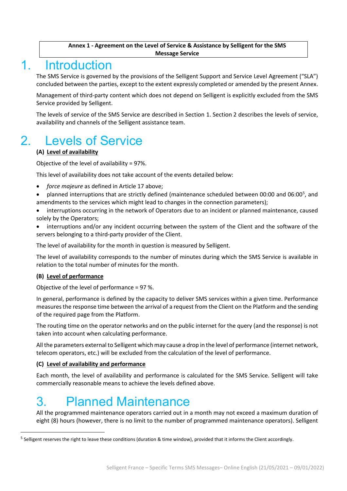## **Annex 1 - Agreement on the Level of Service & Assistance by Selligent for the SMS Message Service**

## 1. Introduction

The SMS Service is governed by the provisions of the Selligent Support and Service Level Agreement ("SLA") concluded between the parties, except to the extent expressly completed or amended by the present Annex.

Management of third-party content which does not depend on Selligent is explicitly excluded from the SMS Service provided by Selligent.

The levels of service of the SMS Service are described in Section 1. Section 2 describes the levels of service, availability and channels of the Selligent assistance team.

# 2. Levels of Service

## **(A) Level of availability**

Objective of the level of availability = 97%.

This level of availability does not take account of the events detailed below:

- *force majeure* as defined in Article 17 above;
- planned interruptions that are strictly defined (maintenance scheduled between 00:00 and 06:00<sup>[5](#page-10-0)</sup>, and amendments to the services which might lead to changes in the connection parameters);
- interruptions occurring in the network of Operators due to an incident or planned maintenance, caused solely by the Operators;
- interruptions and/or any incident occurring between the system of the Client and the software of the servers belonging to a third-party provider of the Client.

The level of availability for the month in question is measured by Selligent.

The level of availability corresponds to the number of minutes during which the SMS Service is available in relation to the total number of minutes for the month.

## **(B) Level of performance**

Objective of the level of performance = 97 %.

In general, performance is defined by the capacity to deliver SMS services within a given time. Performance measures the response time between the arrival of a request from the Client on the Platform and the sending of the required page from the Platform.

The routing time on the operator networks and on the public internet for the query (and the response) is not taken into account when calculating performance.

All the parameters external to Selligent which may cause a drop in the level of performance (internet network, telecom operators, etc.) will be excluded from the calculation of the level of performance.

## **(C) Level of availability and performance**

Each month, the level of availability and performance is calculated for the SMS Service. Selligent will take commercially reasonable means to achieve the levels defined above.

# 3. Planned Maintenance

All the programmed maintenance operators carried out in a month may not exceed a maximum duration of eight (8) hours (however, there is no limit to the number of programmed maintenance operators). Selligent

<span id="page-10-0"></span><sup>&</sup>lt;sup>5</sup> Selligent reserves the right to leave these conditions (duration & time window), provided that it informs the Client accordingly.